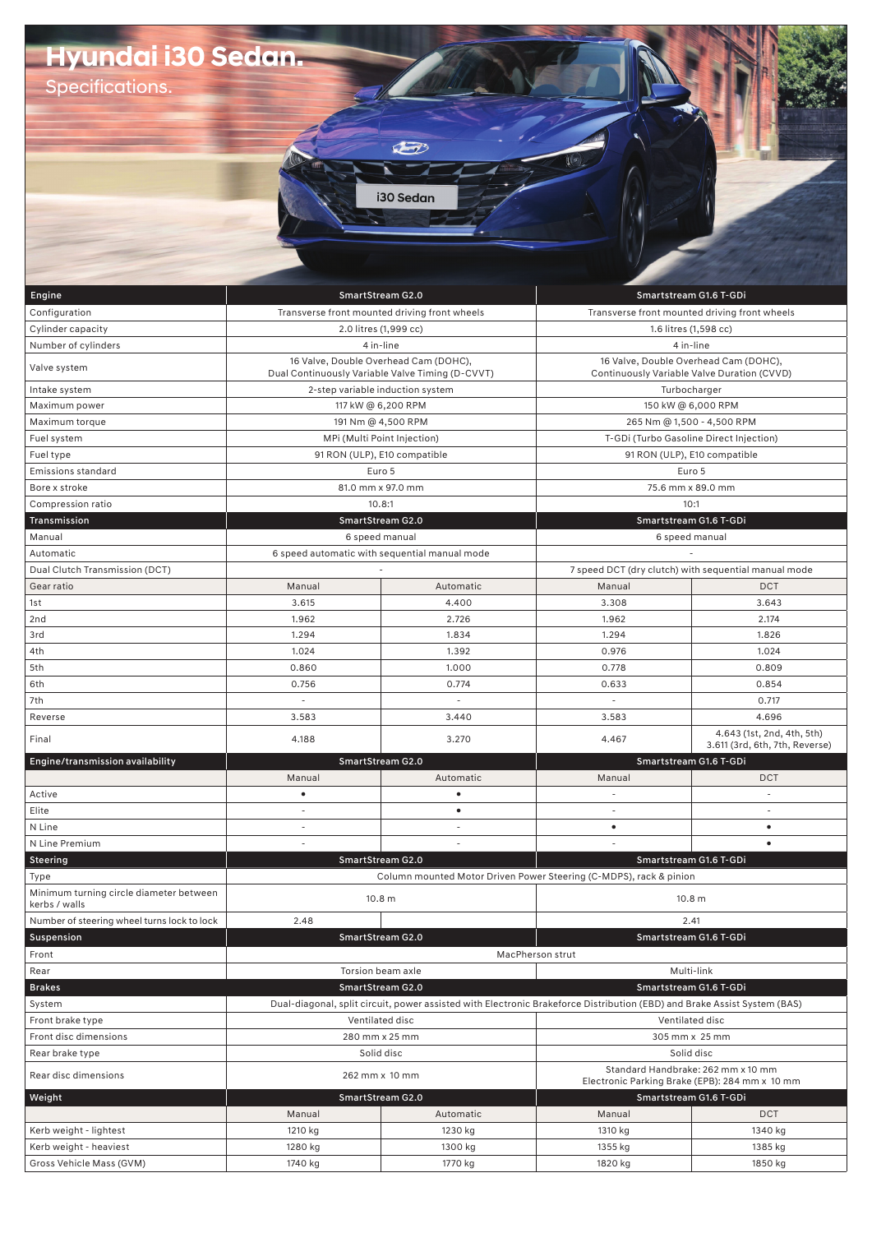| Hyundai i30 Sedan.                          |                                                  |                                                                                                                          |                                               |                                                              |
|---------------------------------------------|--------------------------------------------------|--------------------------------------------------------------------------------------------------------------------------|-----------------------------------------------|--------------------------------------------------------------|
|                                             |                                                  |                                                                                                                          |                                               |                                                              |
| Specifications.                             |                                                  |                                                                                                                          |                                               |                                                              |
|                                             |                                                  |                                                                                                                          |                                               |                                                              |
|                                             |                                                  |                                                                                                                          |                                               |                                                              |
|                                             |                                                  |                                                                                                                          |                                               |                                                              |
|                                             |                                                  | $\mathcal{L}$                                                                                                            |                                               |                                                              |
|                                             |                                                  |                                                                                                                          |                                               |                                                              |
|                                             |                                                  |                                                                                                                          |                                               |                                                              |
|                                             |                                                  |                                                                                                                          |                                               |                                                              |
|                                             |                                                  | i30 Sedan                                                                                                                |                                               |                                                              |
|                                             |                                                  |                                                                                                                          |                                               |                                                              |
|                                             |                                                  |                                                                                                                          |                                               |                                                              |
|                                             |                                                  |                                                                                                                          |                                               |                                                              |
|                                             |                                                  |                                                                                                                          |                                               |                                                              |
|                                             |                                                  |                                                                                                                          |                                               |                                                              |
|                                             |                                                  |                                                                                                                          |                                               |                                                              |
| Engine                                      | SmartStream G2.0                                 |                                                                                                                          |                                               | Smartstream G1.6 T-GDi                                       |
| Configuration                               | Transverse front mounted driving front wheels    |                                                                                                                          | Transverse front mounted driving front wheels |                                                              |
| Cylinder capacity                           | 2.0 litres (1,999 cc)                            |                                                                                                                          |                                               | 1.6 litres (1,598 cc)                                        |
| Number of cylinders                         | 4 in-line                                        |                                                                                                                          |                                               | 4 in-line                                                    |
|                                             |                                                  | 16 Valve, Double Overhead Cam (DOHC),                                                                                    |                                               | 16 Valve, Double Overhead Cam (DOHC),                        |
| Valve system                                | Dual Continuously Variable Valve Timing (D-CVVT) |                                                                                                                          |                                               | Continuously Variable Valve Duration (CVVD)                  |
| Intake system                               | 2-step variable induction system                 |                                                                                                                          | Turbocharger                                  |                                                              |
|                                             |                                                  |                                                                                                                          |                                               |                                                              |
| Maximum power                               | 117 kW @ 6,200 RPM                               |                                                                                                                          |                                               | 150 kW @ 6,000 RPM                                           |
| Maximum torque                              | 191 Nm @ 4,500 RPM                               |                                                                                                                          |                                               | 265 Nm @ 1,500 - 4,500 RPM                                   |
| Fuel system                                 | MPi (Multi Point Injection)                      |                                                                                                                          |                                               | T-GDi (Turbo Gasoline Direct Injection)                      |
| Fuel type                                   |                                                  | 91 RON (ULP), E10 compatible                                                                                             |                                               | 91 RON (ULP), E10 compatible                                 |
| <b>Emissions standard</b>                   |                                                  | Euro 5                                                                                                                   |                                               | Euro 5                                                       |
| Bore x stroke                               | 81.0 mm x 97.0 mm                                |                                                                                                                          | 75.6 mm x 89.0 mm                             |                                                              |
| Compression ratio                           | 10.8:1                                           |                                                                                                                          | 10:1                                          |                                                              |
|                                             | SmartStream G2.0                                 |                                                                                                                          |                                               |                                                              |
| Transmission                                |                                                  |                                                                                                                          | Smartstream G1.6 T-GDi                        |                                                              |
| Manual                                      | 6 speed manual                                   |                                                                                                                          |                                               | 6 speed manual                                               |
| Automatic                                   | 6 speed automatic with sequential manual mode    |                                                                                                                          |                                               |                                                              |
| Dual Clutch Transmission (DCT)              |                                                  |                                                                                                                          |                                               | 7 speed DCT (dry clutch) with sequential manual mode         |
| Gear ratio                                  | Manual                                           | Automatic                                                                                                                | Manual                                        | DCT                                                          |
| 1st                                         | 3.615                                            | 4.400                                                                                                                    | 3.308                                         | 3.643                                                        |
| 2nd                                         | 1.962                                            | 2.726                                                                                                                    | 1.962                                         | 2.174                                                        |
|                                             |                                                  |                                                                                                                          |                                               |                                                              |
| 3rd                                         | 1.294                                            | 1.834                                                                                                                    | 1.294                                         | 1.826                                                        |
| 4th                                         | 1.024                                            | 1.392                                                                                                                    | 0.976                                         | 1.024                                                        |
| 5th                                         | 0.860                                            | 1.000                                                                                                                    | 0.778                                         | 0.809                                                        |
| 6th                                         | 0.756                                            | 0.774                                                                                                                    | 0.633                                         | 0.854                                                        |
| 7th                                         | $\bar{a}$                                        | $\omega$                                                                                                                 | $\sim$                                        | 0.717                                                        |
| Reverse                                     | 3.583                                            | 3.440                                                                                                                    | 3.583                                         | 4.696                                                        |
|                                             |                                                  |                                                                                                                          |                                               |                                                              |
| Final                                       | 4.188                                            | 3.270                                                                                                                    | 4.467                                         | 4.643 (1st, 2nd, 4th, 5th)<br>3.611 (3rd, 6th, 7th, Reverse) |
|                                             |                                                  |                                                                                                                          |                                               |                                                              |
| Engine/transmission availability            |                                                  | SmartStream G2.0                                                                                                         |                                               | Smartstream G1.6 T-GDi                                       |
|                                             | Manual                                           | Automatic                                                                                                                | Manual                                        | <b>DCT</b>                                                   |
| Active                                      | $\bullet$                                        | $\bullet$                                                                                                                | $\overline{\phantom{a}}$                      | $\overline{\phantom{a}}$                                     |
| Elite                                       |                                                  | $\bullet$                                                                                                                |                                               | ä,                                                           |
| N Line                                      | $\sim$                                           | $\sim$                                                                                                                   | $\bullet$                                     | $\bullet$                                                    |
| N Line Premium                              |                                                  | ÷.                                                                                                                       | $\sim$                                        | $\bullet$                                                    |
|                                             |                                                  | SmartStream G2.0                                                                                                         |                                               | Smartstream G1.6 T-GDi                                       |
| <b>Steering</b>                             |                                                  |                                                                                                                          |                                               |                                                              |
| Type                                        |                                                  | Column mounted Motor Driven Power Steering (C-MDPS), rack & pinion                                                       |                                               |                                                              |
| Minimum turning circle diameter between     | 10.8 <sub>m</sub>                                |                                                                                                                          |                                               | 10.8 <sub>m</sub>                                            |
| kerbs / walls                               |                                                  |                                                                                                                          |                                               |                                                              |
| Number of steering wheel turns lock to lock | 2.48                                             |                                                                                                                          |                                               | 2.41                                                         |
| Suspension                                  |                                                  | SmartStream G2.0                                                                                                         |                                               | Smartstream G1.6 T-GDi                                       |
| Front                                       |                                                  |                                                                                                                          | MacPherson strut                              |                                                              |
| Rear                                        | Torsion beam axle                                |                                                                                                                          |                                               | Multi-link                                                   |
| <b>Brakes</b>                               |                                                  | SmartStream G2.0                                                                                                         |                                               | Smartstream G1.6 T-GDi                                       |
|                                             |                                                  |                                                                                                                          |                                               |                                                              |
| System                                      |                                                  | Dual-diagonal, split circuit, power assisted with Electronic Brakeforce Distribution (EBD) and Brake Assist System (BAS) |                                               |                                                              |
| Front brake type                            |                                                  | Ventilated disc                                                                                                          |                                               | Ventilated disc                                              |
| Front disc dimensions                       | 280 mm x 25 mm                                   |                                                                                                                          |                                               | 305 mm x 25 mm                                               |
| Rear brake type                             | Solid disc                                       |                                                                                                                          |                                               | Solid disc                                                   |
|                                             |                                                  |                                                                                                                          |                                               | Standard Handbrake: 262 mm x 10 mm                           |
| Rear disc dimensions                        |                                                  | 262 mm x 10 mm                                                                                                           |                                               | Electronic Parking Brake (EPB): 284 mm x 10 mm               |
| Weight                                      |                                                  | SmartStream G2.0                                                                                                         |                                               | Smartstream G1.6 T-GDi                                       |
|                                             | Manual                                           | Automatic                                                                                                                | Manual                                        | <b>DCT</b>                                                   |
| Kerb weight - lightest                      | 1210 kg                                          | 1230 kg                                                                                                                  |                                               | 1340 kg                                                      |
|                                             |                                                  |                                                                                                                          | 1310 kg                                       |                                                              |
| Kerb weight - heaviest                      | 1280 kg                                          | 1300 kg                                                                                                                  | 1355 kg                                       | 1385 kg                                                      |
| Gross Vehicle Mass (GVM)                    | 1740 kg                                          | 1770 kg                                                                                                                  | 1820 kg                                       | 1850 kg                                                      |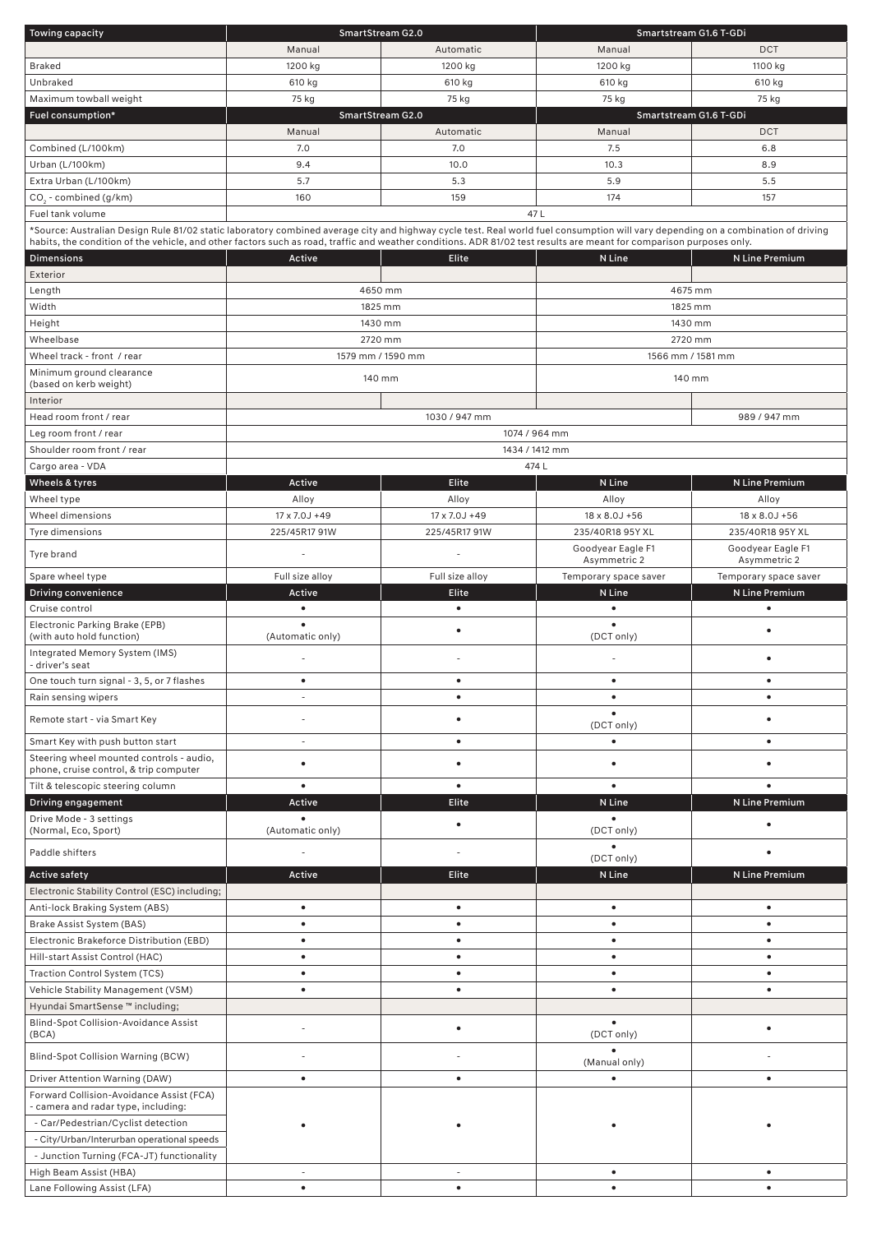| <b>Towing capacity</b>                                                                                                                                                            | SmartStream G2.0<br>Smartstream G1.6 T-GDi |                 |                         |                        |
|-----------------------------------------------------------------------------------------------------------------------------------------------------------------------------------|--------------------------------------------|-----------------|-------------------------|------------------------|
|                                                                                                                                                                                   | Manual                                     | Automatic       | Manual                  | <b>DCT</b>             |
| <b>Braked</b>                                                                                                                                                                     | 1200 kg                                    | 1200 kg         | 1200 kg                 | 1100 kg                |
|                                                                                                                                                                                   |                                            |                 |                         |                        |
| Unbraked                                                                                                                                                                          | 610 kg                                     | 610 kg          | 610 kg                  | 610 kg                 |
| Maximum towball weight                                                                                                                                                            | 75 kg                                      | 75 kg           | 75 kg                   | 75 kg                  |
| Fuel consumption*                                                                                                                                                                 | <b>SmartStream G2.0</b>                    |                 |                         | Smartstream G1.6 T-GDi |
|                                                                                                                                                                                   | Manual                                     | Automatic       | Manual                  | <b>DCT</b>             |
| Combined (L/100km)                                                                                                                                                                | 7.0                                        | 7.0             | 7.5                     | 6.8                    |
| Urban (L/100km)                                                                                                                                                                   | 9.4                                        | 10.0            | 10.3                    | 8.9                    |
| Extra Urban (L/100km)                                                                                                                                                             | 5.7                                        | 5.3             | 5.9                     | 5.5                    |
| CO <sub>2</sub> - combined (g/km)                                                                                                                                                 | 160                                        | 159             | 174                     | 157                    |
| Fuel tank volume                                                                                                                                                                  |                                            | 47 L            |                         |                        |
| *Source: Australian Design Rule 81/02 static laboratory combined average city and highway cycle test. Real world fuel consumption will vary depending on a combination of driving |                                            |                 |                         |                        |
| habits, the condition of the vehicle, and other factors such as road, traffic and weather conditions. ADR 81/02 test results are meant for comparison purposes only.              |                                            |                 |                         |                        |
| <b>Dimensions</b>                                                                                                                                                                 | Active                                     | Elite           | N Line                  | N Line Premium         |
| Exterior                                                                                                                                                                          |                                            |                 |                         |                        |
| Length                                                                                                                                                                            | 4650 mm                                    |                 |                         | 4675 mm                |
| Width                                                                                                                                                                             | 1825 mm                                    |                 | 1825 mm                 |                        |
| Height                                                                                                                                                                            | 1430 mm                                    |                 | 1430 mm                 |                        |
| Wheelbase                                                                                                                                                                         |                                            | 2720 mm         | 2720 mm                 |                        |
| Wheel track - front / rear                                                                                                                                                        | 1579 mm / 1590 mm                          |                 | 1566 mm / 1581 mm       |                        |
| Minimum ground clearance                                                                                                                                                          |                                            |                 |                         |                        |
| (based on kerb weight)                                                                                                                                                            | 140 mm                                     |                 |                         | 140 mm                 |
| Interior                                                                                                                                                                          |                                            |                 |                         |                        |
| Head room front / rear                                                                                                                                                            |                                            | 1030 / 947 mm   |                         | 989 / 947 mm           |
| Leg room front / rear                                                                                                                                                             |                                            | 1074 / 964 mm   |                         |                        |
| Shoulder room front / rear                                                                                                                                                        |                                            |                 |                         |                        |
|                                                                                                                                                                                   |                                            | 1434 / 1412 mm  |                         |                        |
| Cargo area - VDA                                                                                                                                                                  |                                            | 474 L           |                         |                        |
| Wheels & tyres                                                                                                                                                                    | Active                                     | Elite           | N Line                  | N Line Premium         |
| Wheel type                                                                                                                                                                        | Alloy                                      | Alloy           | Alloy                   | Alloy                  |
| Wheel dimensions                                                                                                                                                                  | 17 x 7.0J +49                              | 17 x 7.0J +49   | 18 x 8.0J +56           | 18 x 8.0J +56          |
| Tyre dimensions                                                                                                                                                                   | 225/45R17 91W                              | 225/45R17 91W   | 235/40R18 95Y XL        | 235/40R18 95Y XL       |
| Tyre brand                                                                                                                                                                        | $\sim$                                     |                 | Goodyear Eagle F1       | Goodyear Eagle F1      |
|                                                                                                                                                                                   |                                            |                 | Asymmetric 2            | Asymmetric 2           |
| Spare wheel type                                                                                                                                                                  | Full size alloy                            | Full size alloy | Temporary space saver   | Temporary space saver  |
| <b>Driving convenience</b>                                                                                                                                                        | Active                                     | Elite           | N Line                  | N Line Premium         |
| Cruise control                                                                                                                                                                    | $\bullet$                                  | $\bullet$       | $\bullet$               | $\bullet$              |
| Electronic Parking Brake (EPB)                                                                                                                                                    | ٠                                          | $\bullet$       | $\bullet$               | ٠                      |
| (with auto hold function)                                                                                                                                                         | (Automatic only)                           |                 | (DCT only)              |                        |
| Integrated Memory System (IMS)                                                                                                                                                    |                                            |                 |                         |                        |
| - driver's seat                                                                                                                                                                   |                                            |                 |                         |                        |
| One touch turn signal - 3, 5, or 7 flashes                                                                                                                                        | $\bullet$                                  | $\bullet$       | $\bullet$               | ٠                      |
| Rain sensing wipers                                                                                                                                                               | $\overline{\phantom{a}}$                   | $\bullet$       | $\bullet$               | $\bullet$              |
| Remote start - via Smart Key                                                                                                                                                      |                                            | $\bullet$       |                         | ٠                      |
|                                                                                                                                                                                   |                                            |                 | (DCT only)              |                        |
| Smart Key with push button start                                                                                                                                                  | $\overline{\phantom{a}}$                   | $\bullet$       | $\bullet$               | $\bullet$              |
| Steering wheel mounted controls - audio,                                                                                                                                          | $\bullet$                                  | ٠               | $\bullet$               | $\bullet$              |
| phone, cruise control, & trip computer                                                                                                                                            |                                            |                 |                         |                        |
| Tilt & telescopic steering column                                                                                                                                                 | $\bullet$                                  | $\bullet$       | $\bullet$               | $\bullet$              |
| Driving engagement                                                                                                                                                                | Active                                     | Elite           | N Line                  | N Line Premium         |
| Drive Mode - 3 settings<br>(Normal, Eco, Sport)                                                                                                                                   | (Automatic only)                           | $\bullet$       | $\bullet$<br>(DCT only) |                        |
|                                                                                                                                                                                   |                                            |                 |                         |                        |
| Paddle shifters                                                                                                                                                                   |                                            |                 | (DCT only)              |                        |
| <b>Active safety</b>                                                                                                                                                              | Active                                     | Elite           | N Line                  | N Line Premium         |
| Electronic Stability Control (ESC) including;                                                                                                                                     |                                            |                 |                         |                        |
|                                                                                                                                                                                   | $\bullet$                                  | $\bullet$       | $\bullet$               | $\bullet$              |
| Anti-lock Braking System (ABS)                                                                                                                                                    |                                            |                 |                         |                        |
| Brake Assist System (BAS)                                                                                                                                                         | $\bullet$                                  | $\bullet$       | $\bullet$               | ٠                      |
| Electronic Brakeforce Distribution (EBD)                                                                                                                                          | ٠                                          | $\bullet$       | $\bullet$               | ٠                      |
| Hill-start Assist Control (HAC)                                                                                                                                                   | ٠                                          | $\bullet$       | $\bullet$               | $\bullet$              |
| Traction Control System (TCS)                                                                                                                                                     | $\bullet$                                  | $\bullet$       | $\bullet$               | $\bullet$              |
| Vehicle Stability Management (VSM)                                                                                                                                                | $\bullet$                                  | $\bullet$       | $\bullet$               | $\bullet$              |
| Hyundai SmartSense ™ including;                                                                                                                                                   |                                            |                 |                         |                        |
| <b>Blind-Spot Collision-Avoidance Assist</b>                                                                                                                                      |                                            | $\bullet$       | $\bullet$               | $\bullet$              |
| (BCA)                                                                                                                                                                             |                                            |                 | (DCT only)              |                        |
| <b>Blind-Spot Collision Warning (BCW)</b>                                                                                                                                         |                                            |                 |                         |                        |
|                                                                                                                                                                                   |                                            |                 | (Manual only)           |                        |
| Driver Attention Warning (DAW)                                                                                                                                                    | $\bullet$                                  | $\bullet$       |                         | $\bullet$              |
| Forward Collision-Avoidance Assist (FCA)                                                                                                                                          |                                            |                 |                         |                        |
| - camera and radar type, including:                                                                                                                                               |                                            |                 |                         |                        |
| - Car/Pedestrian/Cyclist detection                                                                                                                                                |                                            |                 |                         |                        |
| - City/Urban/Interurban operational speeds                                                                                                                                        |                                            |                 |                         |                        |
| - Junction Turning (FCA-JT) functionality                                                                                                                                         |                                            |                 |                         |                        |
| High Beam Assist (HBA)                                                                                                                                                            |                                            |                 | $\bullet$               | ٠                      |
| Lane Following Assist (LFA)                                                                                                                                                       | $\bullet$                                  | $\bullet$       |                         |                        |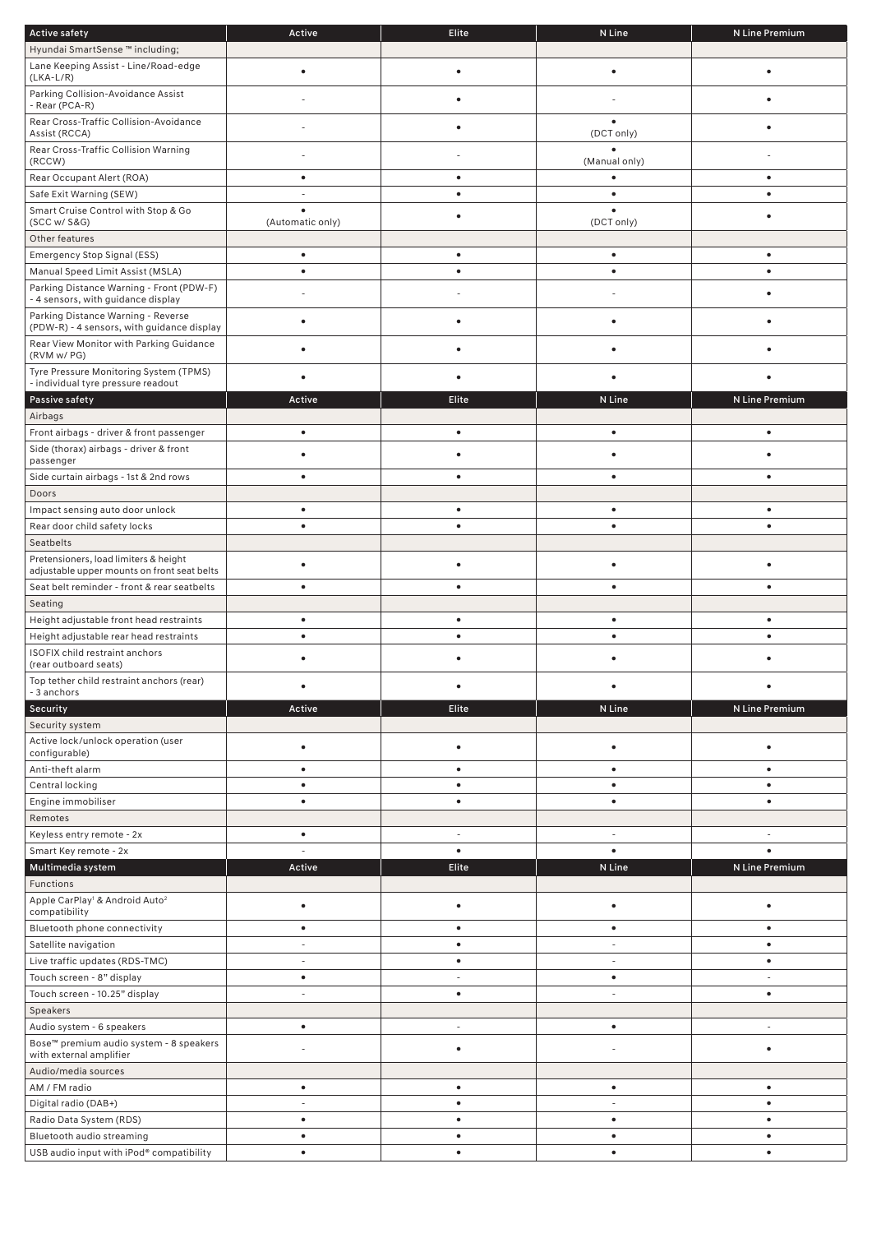| <b>Active safety</b>                                                             | Active           | Elite                       | N Line                     | N Line Premium           |
|----------------------------------------------------------------------------------|------------------|-----------------------------|----------------------------|--------------------------|
| Hyundai SmartSense ™ including;                                                  |                  |                             |                            |                          |
| Lane Keeping Assist - Line/Road-edge<br>$(LKA-L/R)$                              | ٠                | $\bullet$                   | $\bullet$                  |                          |
| Parking Collision-Avoidance Assist<br>- Rear (PCA-R)                             |                  | $\bullet$                   |                            |                          |
| Rear Cross-Traffic Collision-Avoidance<br>Assist (RCCA)                          |                  | ٠                           | $\bullet$<br>(DCT only)    |                          |
| Rear Cross-Traffic Collision Warning<br>(RCCW)                                   |                  |                             | $\bullet$<br>(Manual only) |                          |
| Rear Occupant Alert (ROA)                                                        | ٠                | $\bullet$                   | $\bullet$                  | $\bullet$                |
| Safe Exit Warning (SEW)                                                          |                  | $\bullet$                   | ٠                          |                          |
|                                                                                  | $\bullet$        |                             | $\bullet$                  |                          |
| Smart Cruise Control with Stop & Go<br>(SCC w/ S&G)                              | (Automatic only) | $\bullet$                   | (DCT only)                 |                          |
| Other features                                                                   |                  |                             |                            |                          |
| Emergency Stop Signal (ESS)                                                      | ٠                | $\bullet$                   | ٠                          |                          |
| Manual Speed Limit Assist (MSLA)                                                 | $\bullet$        | $\bullet$                   | $\bullet$                  |                          |
| Parking Distance Warning - Front (PDW-F)<br>- 4 sensors, with guidance display   |                  |                             |                            |                          |
| Parking Distance Warning - Reverse<br>(PDW-R) - 4 sensors, with guidance display |                  | $\bullet$                   | $\bullet$                  |                          |
| Rear View Monitor with Parking Guidance<br>(RVM w/ PG)                           | ٠                | $\bullet$                   | $\bullet$                  |                          |
| Tyre Pressure Monitoring System (TPMS)<br>- individual tyre pressure readout     |                  |                             | $\bullet$                  |                          |
| Passive safety                                                                   | Active           | Elite                       | N Line                     | N Line Premium           |
| Airbags                                                                          |                  |                             |                            |                          |
| Front airbags - driver & front passenger                                         | $\bullet$        | $\bullet$                   | $\bullet$                  | $\bullet$                |
| Side (thorax) airbags - driver & front<br>passenger                              |                  | ٠                           | $\bullet$                  |                          |
| Side curtain airbags - 1st & 2nd rows                                            | $\bullet$        | $\bullet$                   | $\bullet$                  |                          |
| Doors                                                                            |                  |                             |                            |                          |
| Impact sensing auto door unlock                                                  | ٠                | $\bullet$                   | $\bullet$                  |                          |
| Rear door child safety locks                                                     | ٠                | $\bullet$                   | $\bullet$                  |                          |
| Seatbelts                                                                        |                  |                             |                            |                          |
| Pretensioners, load limiters & height                                            |                  | ٠                           | $\bullet$                  |                          |
| adjustable upper mounts on front seat belts                                      |                  |                             |                            |                          |
| Seat belt reminder - front & rear seatbelts                                      | $\bullet$        | $\bullet$                   | $\bullet$                  | ٠                        |
| Seating                                                                          |                  |                             |                            |                          |
| Height adjustable front head restraints                                          | $\bullet$        | $\bullet$                   | $\bullet$                  | $\bullet$                |
| Height adjustable rear head restraints                                           | ٠                | $\bullet$                   | $\bullet$                  |                          |
| ISOFIX child restraint anchors<br>(rear outboard seats)                          | ٠                | $\bullet$                   | $\bullet$                  |                          |
| Top tether child restraint anchors (rear)<br>- 3 anchors                         |                  |                             |                            |                          |
| Security                                                                         | Active           | Elite                       | N Line                     | N Line Premium           |
| Security system                                                                  |                  |                             |                            |                          |
| Active lock/unlock operation (user<br>configurable)                              | $\bullet$        | ٠                           | $\bullet$                  | ٠                        |
| Anti-theft alarm                                                                 | ٠                | $\bullet$                   | ٠                          | $\bullet$                |
| Central locking                                                                  | ٠                | $\bullet$                   | $\bullet$                  | $\bullet$                |
| Engine immobiliser                                                               | $\bullet$        | $\bullet$                   | $\bullet$                  | ٠                        |
| Remotes                                                                          |                  |                             |                            |                          |
| Keyless entry remote - 2x                                                        | $\bullet$        | $\overline{\phantom{a}}$    | $\sim$                     |                          |
| Smart Key remote - 2x                                                            | $\sim$           | $\bullet$                   | $\bullet$                  |                          |
| Multimedia system                                                                | Active           | Elite                       | N Line                     | N Line Premium           |
| Functions                                                                        |                  |                             |                            |                          |
| Apple CarPlay <sup>1</sup> & Android Auto <sup>2</sup>                           |                  | ٠                           | $\bullet$                  |                          |
| compatibility                                                                    |                  |                             |                            |                          |
| Bluetooth phone connectivity                                                     | ٠<br>$\sim$      | $\bullet$                   | $\bullet$<br>$\sim$        | $\bullet$<br>$\bullet$   |
| Satellite navigation                                                             |                  | $\bullet$                   |                            |                          |
| Live traffic updates (RDS-TMC)                                                   | -                | $\bullet$<br>$\overline{a}$ | $\overline{\phantom{a}}$   | $\bullet$                |
| Touch screen - 8" display                                                        | ٠                |                             | $\bullet$                  | $\sim$                   |
| Touch screen - 10.25" display                                                    | ä,               | $\bullet$                   |                            | $\bullet$                |
| Speakers                                                                         |                  |                             |                            |                          |
| Audio system - 6 speakers                                                        | $\bullet$        | $\overline{\phantom{a}}$    | ٠                          | $\overline{\phantom{a}}$ |
| Bose™ premium audio system - 8 speakers<br>with external amplifier               |                  | $\bullet$                   |                            | ٠                        |
| Audio/media sources                                                              |                  |                             |                            |                          |
| AM / FM radio                                                                    | $\bullet$        | $\bullet$                   | $\bullet$                  | $\bullet$                |
| Digital radio (DAB+)                                                             | $\sim$           | $\bullet$                   | $\sim$                     | $\bullet$                |
| Radio Data System (RDS)                                                          | $\bullet$        | $\bullet$                   | $\bullet$                  | ٠                        |
| Bluetooth audio streaming                                                        | ٠                | $\bullet$                   | ٠                          | $\bullet$                |
| USB audio input with iPod® compatibility                                         | $\bullet$        | $\bullet$                   | $\bullet$                  | $\bullet$                |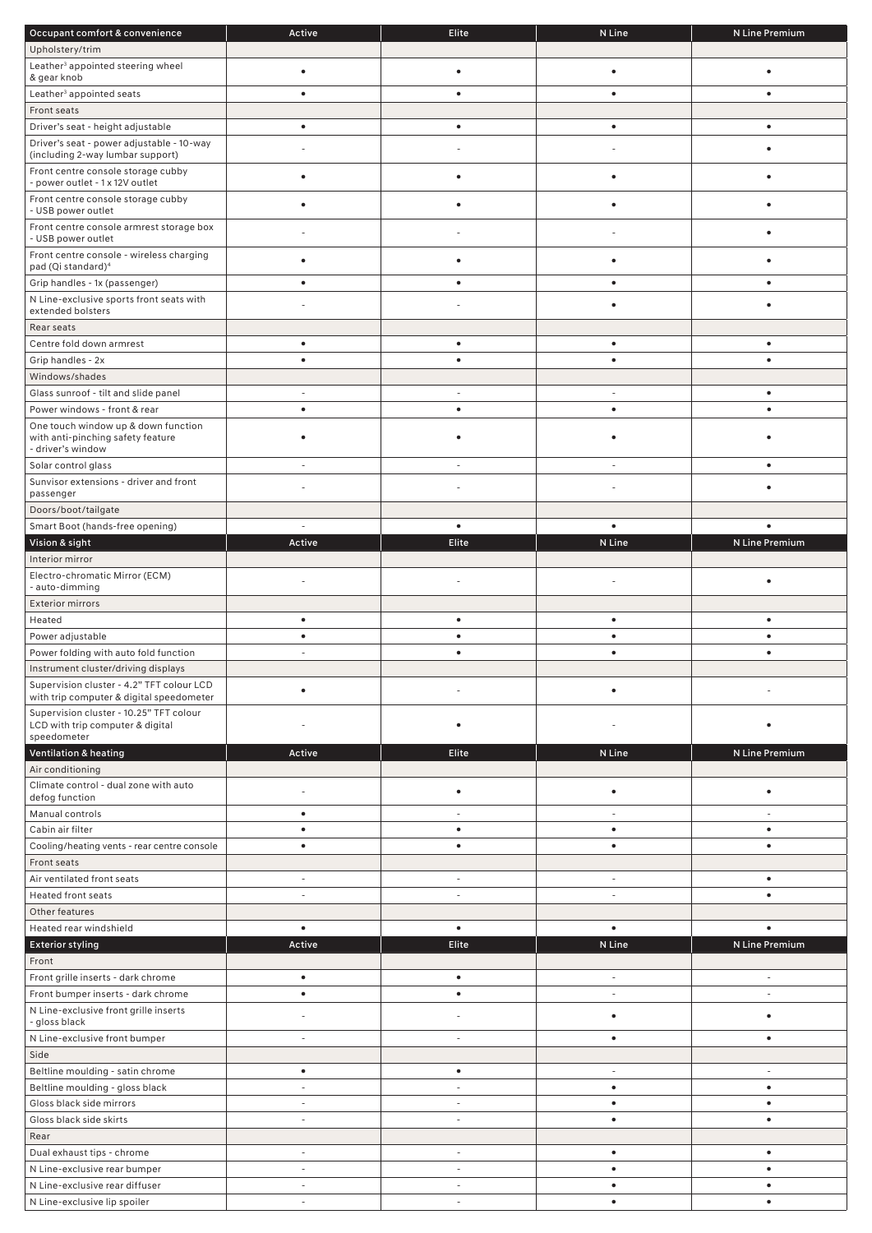| Occupant comfort & convenience                                                        | Active                   | Elite                    | N Line                   | N Line Premium           |
|---------------------------------------------------------------------------------------|--------------------------|--------------------------|--------------------------|--------------------------|
| Upholstery/trim                                                                       |                          |                          |                          |                          |
| Leather <sup>3</sup> appointed steering wheel                                         |                          |                          |                          |                          |
| & gear knob                                                                           | ٠                        | ٠                        | $\bullet$                | $\bullet$                |
| Leather <sup>3</sup> appointed seats                                                  | $\bullet$                | $\bullet$                | $\bullet$                | ٠                        |
| Front seats                                                                           |                          |                          |                          |                          |
| Driver's seat - height adjustable                                                     | $\bullet$                | $\bullet$                | $\bullet$                | $\bullet$                |
| Driver's seat - power adjustable - 10-way                                             |                          |                          |                          |                          |
| (including 2-way lumbar support)                                                      |                          |                          |                          |                          |
| Front centre console storage cubby                                                    |                          |                          |                          |                          |
| - power outlet - 1 x 12V outlet                                                       | ٠                        | ٠                        | $\bullet$                | $\bullet$                |
| Front centre console storage cubby                                                    |                          |                          |                          |                          |
| - USB power outlet                                                                    | ٠                        | ٠                        | $\bullet$                | $\bullet$                |
| Front centre console armrest storage box                                              |                          |                          |                          | $\bullet$                |
| - USB power outlet                                                                    |                          |                          |                          |                          |
| Front centre console - wireless charging                                              | ٠                        | $\bullet$                | $\bullet$                | $\bullet$                |
| pad (Qi standard) <sup>4</sup>                                                        |                          |                          |                          |                          |
| Grip handles - 1x (passenger)                                                         | ٠                        | ٠                        | $\bullet$                | $\bullet$                |
| N Line-exclusive sports front seats with<br>extended bolsters                         |                          |                          | $\bullet$                | $\bullet$                |
|                                                                                       |                          |                          |                          |                          |
| Rear seats                                                                            |                          |                          |                          |                          |
| Centre fold down armrest                                                              | $\bullet$                | $\bullet$                | $\bullet$                | $\bullet$                |
| Grip handles - 2x                                                                     | $\bullet$                | $\bullet$                | $\bullet$                | $\bullet$                |
| Windows/shades                                                                        |                          |                          |                          |                          |
| Glass sunroof - tilt and slide panel                                                  |                          |                          |                          | $\bullet$                |
| Power windows - front & rear                                                          | $\bullet$                | $\bullet$                | $\bullet$                | $\bullet$                |
| One touch window up & down function                                                   |                          |                          |                          |                          |
| with anti-pinching safety feature                                                     |                          | ٠                        | $\bullet$                |                          |
| - driver's window                                                                     |                          |                          |                          |                          |
| Solar control glass                                                                   | ÷,                       | $\sim$                   | ÷,                       | $\bullet$                |
| Sunvisor extensions - driver and front                                                |                          |                          |                          |                          |
| passenger                                                                             |                          |                          |                          | ٠                        |
| Doors/boot/tailgate                                                                   |                          |                          |                          |                          |
| Smart Boot (hands-free opening)                                                       | ÷,                       | $\bullet$                | $\bullet$                | $\bullet$                |
| Vision & sight                                                                        | Active                   | Elite                    | N Line                   | N Line Premium           |
| Interior mirror                                                                       |                          |                          |                          |                          |
| Electro-chromatic Mirror (ECM)                                                        |                          |                          |                          |                          |
| - auto-dimming                                                                        |                          |                          |                          | $\bullet$                |
| <b>Exterior mirrors</b>                                                               |                          |                          |                          |                          |
| Heated                                                                                | $\bullet$                | $\bullet$                | $\bullet$                | $\bullet$                |
| Power adjustable                                                                      | $\bullet$                | $\bullet$                | $\bullet$                | $\bullet$                |
|                                                                                       | $\sim$                   | $\bullet$                | $\bullet$                | $\bullet$                |
| Power folding with auto fold function                                                 |                          |                          |                          |                          |
| Instrument cluster/driving displays                                                   |                          |                          |                          |                          |
| Supervision cluster - 4.2" TFT colour LCD<br>with trip computer & digital speedometer |                          |                          | ٠                        |                          |
| Supervision cluster - 10.25" TFT colour                                               |                          |                          |                          |                          |
| LCD with trip computer & digital                                                      |                          | ٠                        |                          |                          |
| speedometer                                                                           |                          |                          |                          |                          |
| Ventilation & heating                                                                 | Active                   | Elite                    | N Line                   | N Line Premium           |
| Air conditioning                                                                      |                          |                          |                          |                          |
| Climate control - dual zone with auto                                                 |                          |                          |                          |                          |
| defog function                                                                        |                          | ٠                        | $\bullet$                | $\bullet$                |
| Manual controls                                                                       | $\bullet$                |                          | $\sim$                   | $\overline{\phantom{a}}$ |
| Cabin air filter                                                                      | $\bullet$                | $\bullet$                | $\bullet$                | $\bullet$                |
| Cooling/heating vents - rear centre console                                           | $\bullet$                | $\bullet$                | $\bullet$                | $\bullet$                |
|                                                                                       |                          |                          |                          |                          |
| Front seats                                                                           |                          |                          |                          |                          |
| Air ventilated front seats                                                            | ÷,                       | $\sim$                   | $\overline{\phantom{a}}$ | $\bullet$                |
| <b>Heated front seats</b>                                                             | $\sim$                   | $\sim$                   | $\sim$                   | $\bullet$                |
| Other features                                                                        |                          |                          |                          |                          |
| Heated rear windshield                                                                | $\bullet$                | $\bullet$                | $\bullet$                | $\bullet$                |
| <b>Exterior styling</b>                                                               | Active                   | Elite                    | N Line                   | N Line Premium           |
| Front                                                                                 |                          |                          |                          |                          |
| Front grille inserts - dark chrome                                                    | $\bullet$                | $\bullet$                | $\blacksquare$           | $\overline{\phantom{a}}$ |
| Front bumper inserts - dark chrome                                                    | ٠                        | $\bullet$                | $\overline{\phantom{a}}$ | $\overline{\phantom{a}}$ |
| N Line-exclusive front grille inserts                                                 |                          |                          |                          |                          |
| - gloss black                                                                         | ÷.                       |                          | $\bullet$                | $\bullet$                |
| N Line-exclusive front bumper                                                         | $\blacksquare$           | $\overline{\phantom{a}}$ | $\bullet$                | $\bullet$                |
| Side                                                                                  |                          |                          |                          |                          |
| Beltline moulding - satin chrome                                                      | $\bullet$                | $\bullet$                | $\overline{\phantom{a}}$ | $\overline{\phantom{a}}$ |
| Beltline moulding - gloss black                                                       | $\sim$                   | $\sim$                   | $\bullet$                | $\bullet$                |
|                                                                                       |                          |                          |                          |                          |
| Gloss black side mirrors                                                              | $\overline{\phantom{a}}$ | $\sim$                   | $\bullet$                | $\bullet$                |
| Gloss black side skirts                                                               | ÷,                       | $\sim$                   | $\bullet$                | $\bullet$                |
| Rear                                                                                  |                          |                          |                          |                          |
| Dual exhaust tips - chrome                                                            | ÷,                       | $\overline{\phantom{a}}$ | $\bullet$                | $\bullet$                |
| N Line-exclusive rear bumper                                                          | ÷,                       | $\sim$                   | $\bullet$                | $\bullet$                |
| N Line-exclusive rear diffuser                                                        | $\sim$                   | $\sim$                   | $\bullet$                | $\bullet$                |
| N Line-exclusive lip spoiler                                                          |                          |                          |                          |                          |